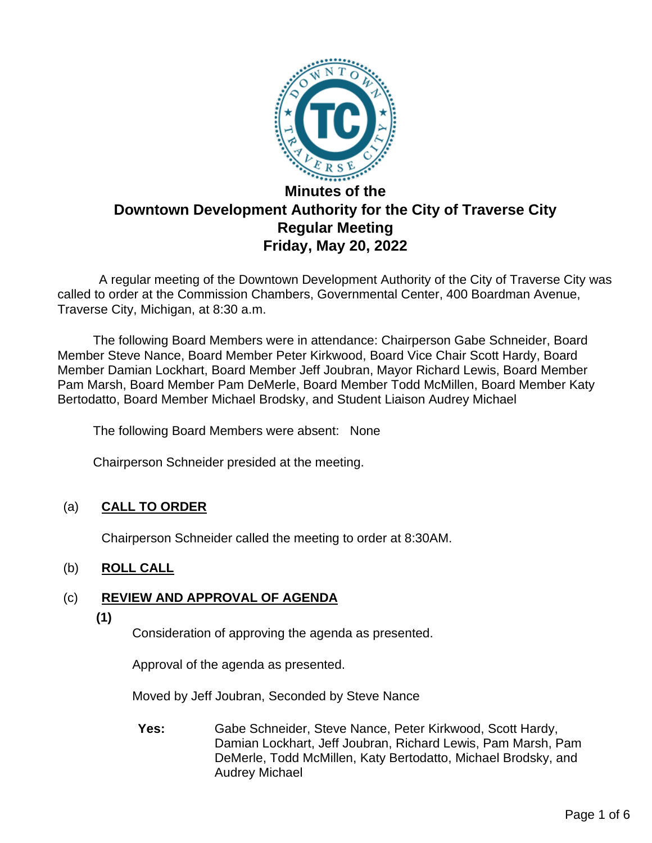

# **Downtown Development Authority for the City of Traverse City Regular Meeting Friday, May 20, 2022**

 A regular meeting of the Downtown Development Authority of the City of Traverse City was called to order at the Commission Chambers, Governmental Center, 400 Boardman Avenue, Traverse City, Michigan, at 8:30 a.m.

The following Board Members were in attendance: Chairperson Gabe Schneider, Board Member Steve Nance, Board Member Peter Kirkwood, Board Vice Chair Scott Hardy, Board Member Damian Lockhart, Board Member Jeff Joubran, Mayor Richard Lewis, Board Member Pam Marsh, Board Member Pam DeMerle, Board Member Todd McMillen, Board Member Katy Bertodatto, Board Member Michael Brodsky, and Student Liaison Audrey Michael

The following Board Members were absent: None

Chairperson Schneider presided at the meeting.

# (a) **CALL TO ORDER**

Chairperson Schneider called the meeting to order at 8:30AM.

# (b) **ROLL CALL**

# (c) **REVIEW AND APPROVAL OF AGENDA**

**(1)**

Consideration of approving the agenda as presented.

Approval of the agenda as presented.

Moved by Jeff Joubran, Seconded by Steve Nance

**Yes:** Gabe Schneider, Steve Nance, Peter Kirkwood, Scott Hardy, Damian Lockhart, Jeff Joubran, Richard Lewis, Pam Marsh, Pam DeMerle, Todd McMillen, Katy Bertodatto, Michael Brodsky, and Audrey Michael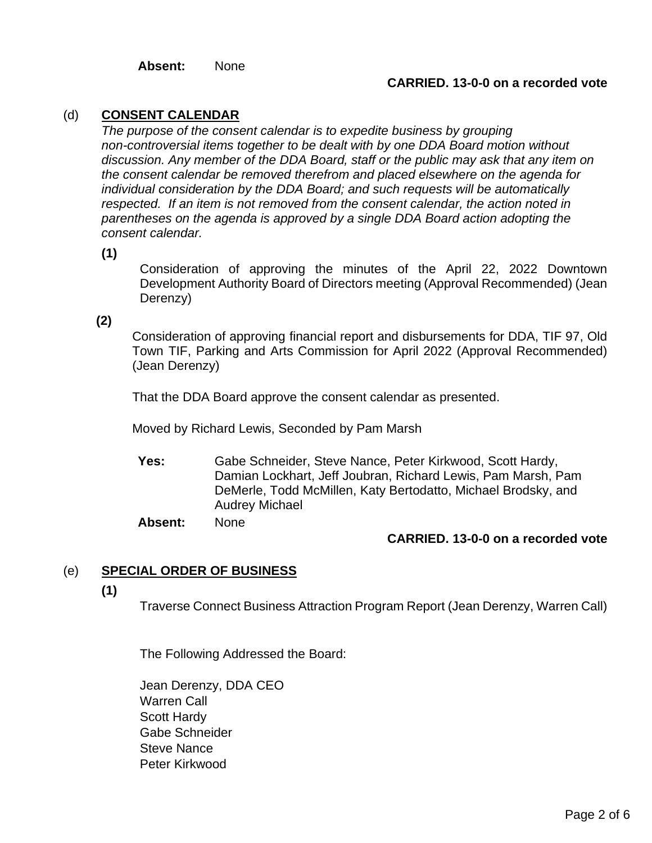**Absent:** None

#### **CARRIED. 13-0-0 on a recorded vote**

#### (d) **CONSENT CALENDAR**

*The purpose of the consent calendar is to expedite business by grouping non-controversial items together to be dealt with by one DDA Board motion without discussion. Any member of the DDA Board, staff or the public may ask that any item on the consent calendar be removed therefrom and placed elsewhere on the agenda for individual consideration by the DDA Board; and such requests will be automatically respected. If an item is not removed from the consent calendar, the action noted in parentheses on the agenda is approved by a single DDA Board action adopting the consent calendar.*

**(1)**

Consideration of approving the minutes of the April 22, 2022 Downtown Development Authority Board of Directors meeting (Approval Recommended) (Jean Derenzy)

#### **(2)**

Consideration of approving financial report and disbursements for DDA, TIF 97, Old Town TIF, Parking and Arts Commission for April 2022 (Approval Recommended) (Jean Derenzy)

That the DDA Board approve the consent calendar as presented.

Moved by Richard Lewis, Seconded by Pam Marsh

**Yes:** Gabe Schneider, Steve Nance, Peter Kirkwood, Scott Hardy, Damian Lockhart, Jeff Joubran, Richard Lewis, Pam Marsh, Pam DeMerle, Todd McMillen, Katy Bertodatto, Michael Brodsky, and Audrey Michael

**Absent:** None

#### **CARRIED. 13-0-0 on a recorded vote**

#### (e) **SPECIAL ORDER OF BUSINESS**

**(1)**

Traverse Connect Business Attraction Program Report (Jean Derenzy, Warren Call)

The Following Addressed the Board:

Jean Derenzy, DDA CEO Warren Call Scott Hardy Gabe Schneider Steve Nance Peter Kirkwood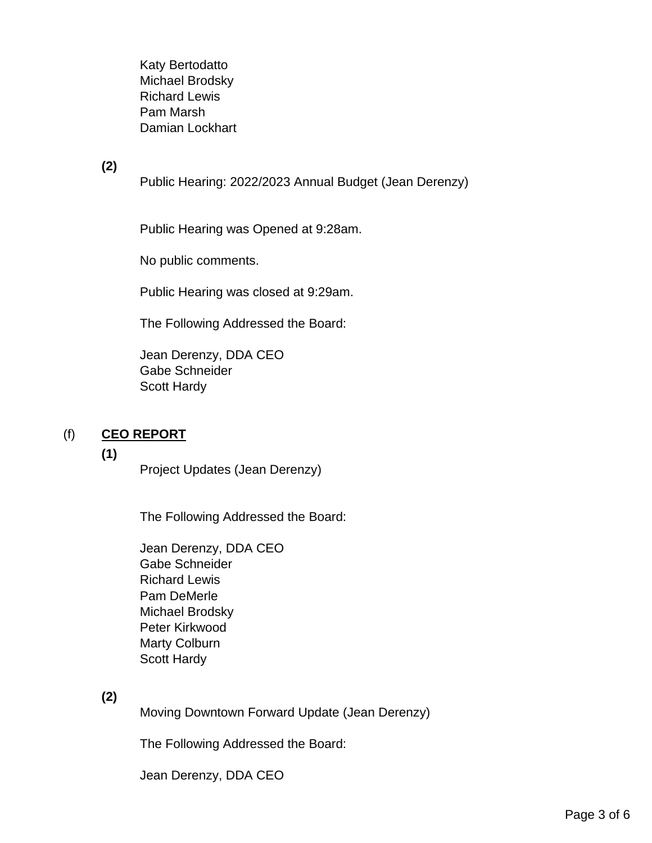Katy Bertodatto Michael Brodsky Richard Lewis Pam Marsh Damian Lockhart

**(2)**

Public Hearing: 2022/2023 Annual Budget (Jean Derenzy)

Public Hearing was Opened at 9:28am.

No public comments.

Public Hearing was closed at 9:29am.

The Following Addressed the Board:

Jean Derenzy, DDA CEO Gabe Schneider Scott Hardy

# (f) **CEO REPORT**

#### **(1)**

Project Updates (Jean Derenzy)

The Following Addressed the Board:

Jean Derenzy, DDA CEO Gabe Schneider Richard Lewis Pam DeMerle Michael Brodsky Peter Kirkwood Marty Colburn Scott Hardy

**(2)**

Moving Downtown Forward Update (Jean Derenzy)

The Following Addressed the Board:

Jean Derenzy, DDA CEO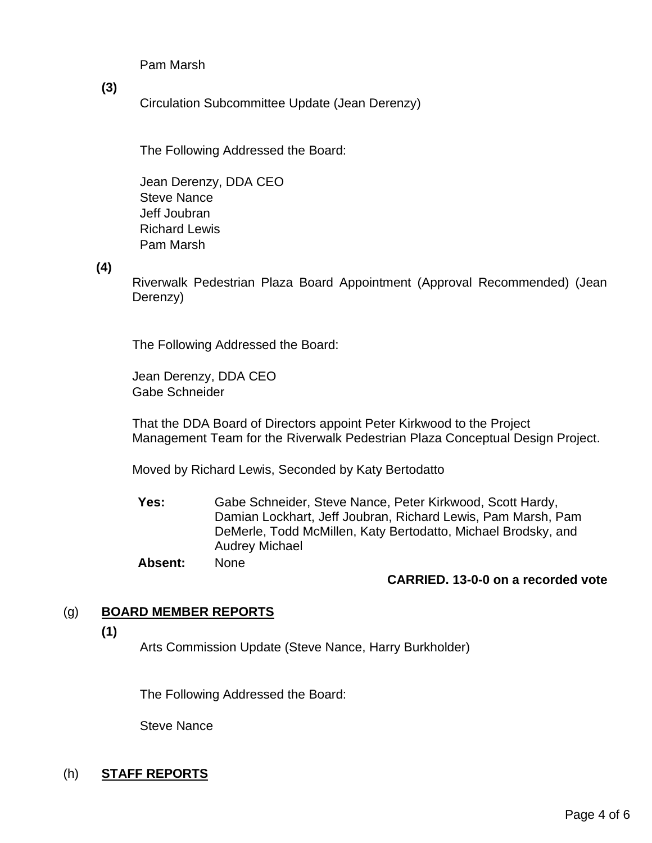Pam Marsh

**(3)**

Circulation Subcommittee Update (Jean Derenzy)

The Following Addressed the Board:

Jean Derenzy, DDA CEO Steve Nance Jeff Joubran Richard Lewis Pam Marsh

**(4)**

Riverwalk Pedestrian Plaza Board Appointment (Approval Recommended) (Jean Derenzy)

The Following Addressed the Board:

Jean Derenzy, DDA CEO Gabe Schneider

That the DDA Board of Directors appoint Peter Kirkwood to the Project Management Team for the Riverwalk Pedestrian Plaza Conceptual Design Project.

Moved by Richard Lewis, Seconded by Katy Bertodatto

**Yes:** Gabe Schneider, Steve Nance, Peter Kirkwood, Scott Hardy, Damian Lockhart, Jeff Joubran, Richard Lewis, Pam Marsh, Pam DeMerle, Todd McMillen, Katy Bertodatto, Michael Brodsky, and Audrey Michael

**Absent:** None

#### **CARRIED. 13-0-0 on a recorded vote**

#### (g) **BOARD MEMBER REPORTS**

**(1)**

Arts Commission Update (Steve Nance, Harry Burkholder)

The Following Addressed the Board:

Steve Nance

#### (h) **STAFF REPORTS**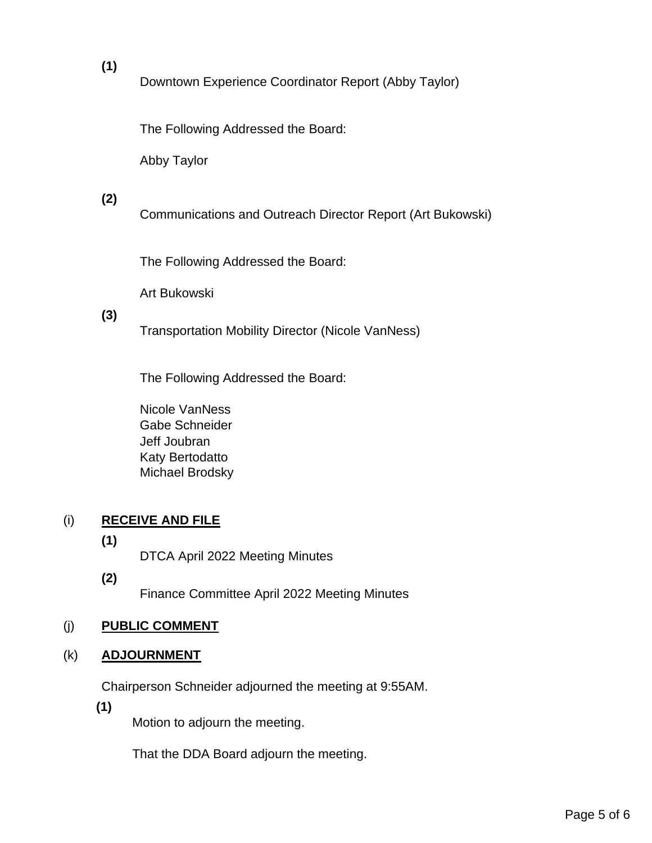# **(1)**

Downtown Experience Coordinator Report (Abby Taylor)

The Following Addressed the Board:

Abby Taylor

# **(2)**

Communications and Outreach Director Report (Art Bukowski)

The Following Addressed the Board:

Art Bukowski

#### **(3)**

Transportation Mobility Director (Nicole VanNess)

The Following Addressed the Board:

Nicole VanNess Gabe Schneider Jeff Joubran Katy Bertodatto Michael Brodsky

# (i) **RECEIVE AND FILE**

**(1)**

DTCA April 2022 Meeting Minutes

**(2)**

Finance Committee April 2022 Meeting Minutes

# (j) **PUBLIC COMMENT**

# (k) **ADJOURNMENT**

Chairperson Schneider adjourned the meeting at 9:55AM.

**(1)**

Motion to adjourn the meeting.

That the DDA Board adjourn the meeting.